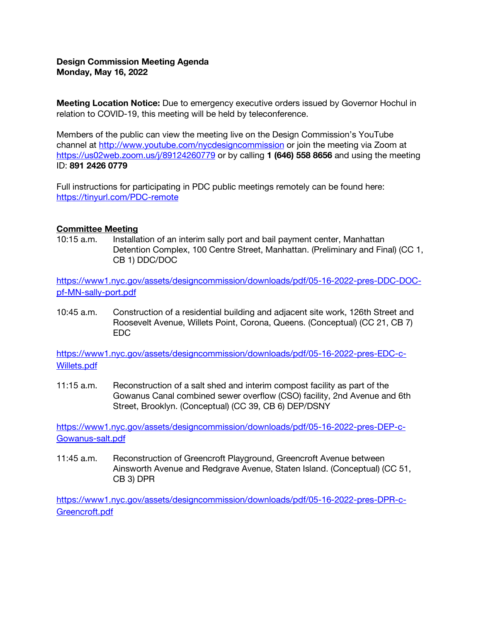# Design Commission Meeting Agenda Monday, May 16, 2022

**Meeting Location Notice:** Due to emergency executive orders issued by Governor Hochul in relation to COVID-19, this meeting will be held by teleconference.

Members of the public can view the meeting live on the Design Commission's YouTube channel at<http://www.youtube.com/nycdesigncommission> or join the meeting via Zoom at <https://us02web.zoom.us/j/89124260779> or by calling 1 (646) 558 8656 and using the meeting ID: 891 2426 0779

Full instructions for participating in PDC public meetings remotely can be found here: <https://tinyurl.com/PDC-remote>

### Committee Meeting

10:15 a.m. Installation of an interim sally port and bail payment center, Manhattan Detention Complex, 100 Centre Street, Manhattan. (Preliminary and Final) (CC 1, CB 1) DDC/DOC

[https://www1.nyc.gov/assets/designcommission/downloads/pdf/05-16-2022-pres-DDC-DOC](https://www1.nyc.gov/assets/designcommission/downloads/pdf/05-16-2022-pres-DDC-DOC-pf-MN-sally-port.pdf)[pf-MN-sally-port.pdf](https://www1.nyc.gov/assets/designcommission/downloads/pdf/05-16-2022-pres-DDC-DOC-pf-MN-sally-port.pdf)

10:45 a.m. Construction of a residential building and adjacent site work, 126th Street and Roosevelt Avenue, Willets Point, Corona, Queens. (Conceptual) (CC 21, CB 7) EDC

[https://www1.nyc.gov/assets/designcommission/downloads/pdf/05-16-2022-pres-EDC-c-](https://www1.nyc.gov/assets/designcommission/downloads/pdf/05-16-2022-pres-EDC-c-Willets.pdf)[Willets.pdf](https://www1.nyc.gov/assets/designcommission/downloads/pdf/05-16-2022-pres-EDC-c-Willets.pdf)

11:15 a.m. Reconstruction of a salt shed and interim compost facility as part of the Gowanus Canal combined sewer overflow (CSO) facility, 2nd Avenue and 6th Street, Brooklyn. (Conceptual) (CC 39, CB 6) DEP/DSNY

[https://www1.nyc.gov/assets/designcommission/downloads/pdf/05-16-2022-pres-DEP-c-](https://www1.nyc.gov/assets/designcommission/downloads/pdf/05-16-2022-pres-DEP-c-Gowanus-salt.pdf)[Gowanus-salt.pdf](https://www1.nyc.gov/assets/designcommission/downloads/pdf/05-16-2022-pres-DEP-c-Gowanus-salt.pdf)

11:45 a.m. Reconstruction of Greencroft Playground, Greencroft Avenue between Ainsworth Avenue and Redgrave Avenue, Staten Island. (Conceptual) (CC 51, CB 3) DPR

[https://www1.nyc.gov/assets/designcommission/downloads/pdf/05-16-2022-pres-DPR-c-](https://www1.nyc.gov/assets/designcommission/downloads/pdf/05-16-2022-pres-DPR-c-Greencroft.pdf)[Greencroft.pdf](https://www1.nyc.gov/assets/designcommission/downloads/pdf/05-16-2022-pres-DPR-c-Greencroft.pdf)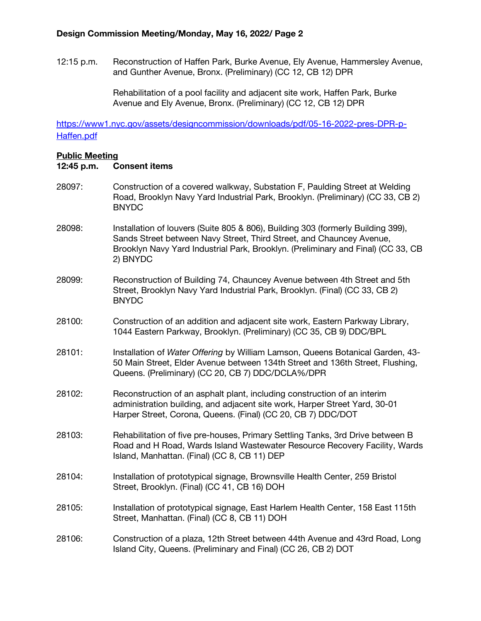12:15 p.m. Reconstruction of Haffen Park, Burke Avenue, Ely Avenue, Hammersley Avenue, and Gunther Avenue, Bronx. (Preliminary) (CC 12, CB 12) DPR

> Rehabilitation of a pool facility and adjacent site work, Haffen Park, Burke Avenue and Ely Avenue, Bronx. (Preliminary) (CC 12, CB 12) DPR

[https://www1.nyc.gov/assets/designcommission/downloads/pdf/05-16-2022-pres-DPR-p-](https://www1.nyc.gov/assets/designcommission/downloads/pdf/05-16-2022-pres-DPR-p-Haffen.pdf)[Haffen.pdf](https://www1.nyc.gov/assets/designcommission/downloads/pdf/05-16-2022-pres-DPR-p-Haffen.pdf)

#### Public Meeting

### 12:45 p.m. Consent items

- 28097: Construction of a covered walkway, Substation F, Paulding Street at Welding Road, Brooklyn Navy Yard Industrial Park, Brooklyn. (Preliminary) (CC 33, CB 2) BNYDC
- 28098: Installation of louvers (Suite 805 & 806), Building 303 (formerly Building 399), Sands Street between Navy Street, Third Street, and Chauncey Avenue, Brooklyn Navy Yard Industrial Park, Brooklyn. (Preliminary and Final) (CC 33, CB 2) BNYDC
- 28099: Reconstruction of Building 74, Chauncey Avenue between 4th Street and 5th Street, Brooklyn Navy Yard Industrial Park, Brooklyn. (Final) (CC 33, CB 2) BNYDC
- 28100: Construction of an addition and adjacent site work, Eastern Parkway Library, 1044 Eastern Parkway, Brooklyn. (Preliminary) (CC 35, CB 9) DDC/BPL
- 28101: Installation of *Water Offering* by William Lamson, Queens Botanical Garden, 43- 50 Main Street, Elder Avenue between 134th Street and 136th Street, Flushing, Queens. (Preliminary) (CC 20, CB 7) DDC/DCLA%/DPR
- 28102: Reconstruction of an asphalt plant, including construction of an interim administration building, and adjacent site work, Harper Street Yard, 30-01 Harper Street, Corona, Queens. (Final) (CC 20, CB 7) DDC/DOT
- 28103: Rehabilitation of five pre-houses, Primary Settling Tanks, 3rd Drive between B Road and H Road, Wards Island Wastewater Resource Recovery Facility, Wards Island, Manhattan. (Final) (CC 8, CB 11) DEP
- 28104: Installation of prototypical signage, Brownsville Health Center, 259 Bristol Street, Brooklyn. (Final) (CC 41, CB 16) DOH
- 28105: Installation of prototypical signage, East Harlem Health Center, 158 East 115th Street, Manhattan. (Final) (CC 8, CB 11) DOH
- 28106: Construction of a plaza, 12th Street between 44th Avenue and 43rd Road, Long Island City, Queens. (Preliminary and Final) (CC 26, CB 2) DOT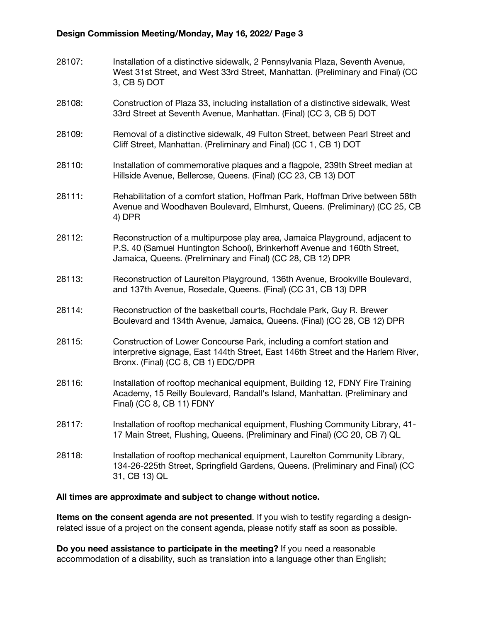# Design Commission Meeting/Monday, May 16, 2022/ Page 3

| 28107: | Installation of a distinctive sidewalk, 2 Pennsylvania Plaza, Seventh Avenue,<br>West 31st Street, and West 33rd Street, Manhattan. (Preliminary and Final) (CC<br>3, CB 5) DOT                                        |
|--------|------------------------------------------------------------------------------------------------------------------------------------------------------------------------------------------------------------------------|
| 28108: | Construction of Plaza 33, including installation of a distinctive sidewalk, West<br>33rd Street at Seventh Avenue, Manhattan. (Final) (CC 3, CB 5) DOT                                                                 |
| 28109: | Removal of a distinctive sidewalk, 49 Fulton Street, between Pearl Street and<br>Cliff Street, Manhattan. (Preliminary and Final) (CC 1, CB 1) DOT                                                                     |
| 28110: | Installation of commemorative plaques and a flagpole, 239th Street median at<br>Hillside Avenue, Bellerose, Queens. (Final) (CC 23, CB 13) DOT                                                                         |
| 28111: | Rehabilitation of a comfort station, Hoffman Park, Hoffman Drive between 58th<br>Avenue and Woodhaven Boulevard, Elmhurst, Queens. (Preliminary) (CC 25, CB<br>4) DPR                                                  |
| 28112: | Reconstruction of a multipurpose play area, Jamaica Playground, adjacent to<br>P.S. 40 (Samuel Huntington School), Brinkerhoff Avenue and 160th Street,<br>Jamaica, Queens. (Preliminary and Final) (CC 28, CB 12) DPR |
| 28113: | Reconstruction of Laurelton Playground, 136th Avenue, Brookville Boulevard,<br>and 137th Avenue, Rosedale, Queens. (Final) (CC 31, CB 13) DPR                                                                          |
| 28114: | Reconstruction of the basketball courts, Rochdale Park, Guy R. Brewer<br>Boulevard and 134th Avenue, Jamaica, Queens. (Final) (CC 28, CB 12) DPR                                                                       |
| 28115: | Construction of Lower Concourse Park, including a comfort station and<br>interpretive signage, East 144th Street, East 146th Street and the Harlem River,<br>Bronx. (Final) (CC 8, CB 1) EDC/DPR                       |
| 28116: | Installation of rooftop mechanical equipment, Building 12, FDNY Fire Training<br>Academy, 15 Reilly Boulevard, Randall's Island, Manhattan. (Preliminary and<br>Final) (CC 8, CB 11) FDNY                              |
| 28117: | Installation of rooftop mechanical equipment, Flushing Community Library, 41-<br>17 Main Street, Flushing, Queens. (Preliminary and Final) (CC 20, CB 7) QL                                                            |
| 28118: | Installation of rooftop mechanical equipment, Laurelton Community Library,<br>134-26-225th Street, Springfield Gardens, Queens. (Preliminary and Final) (CC<br>31, CB 13) QL                                           |

### All times are approximate and subject to change without notice.

Items on the consent agenda are not presented. If you wish to testify regarding a designrelated issue of a project on the consent agenda, please notify staff as soon as possible.

Do you need assistance to participate in the meeting? If you need a reasonable accommodation of a disability, such as translation into a language other than English;